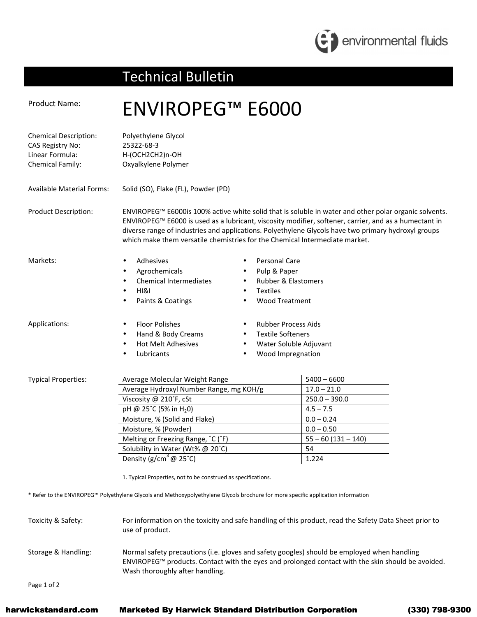

## Technical Bulletin

## Product Name: ENVIROPEG<sup>™</sup> E6000 Chemical Description: Polyethylene Glycol CAS Registry No: 25322-68-3 Linear Formula: H-(OCH2CH2)n-OH Chemical Family: Oxyalkylene Polymer Available Material Forms: Solid (SO), Flake (FL), Powder (PD) Product Description: ENVIROPEG™ E6000is 100% active white solid that is soluble in water and other polar organic solvents. ENVIROPEG™ E6000 is used as a lubricant, viscosity modifier, softener, carrier, and as a humectant in diverse range of industries and applications. Polyethylene Glycols have two primary hydroxyl groups which make them versatile chemistries for the Chemical Intermediate market. Markets: • Adhesives **Agrochemicals** • Chemical Intermediates • HI&I • Paints & Coatings Personal Care • Pulp & Paper • Rubber & Elastomers • Textiles • Wood Treatment Applications: • Floor Polishes • Hand & Body Creams • Hot Melt Adhesives **Lubricants** • Rubber Process Aids • Textile Softeners • Water Soluble Adjuvant • Wood Impregnation Typical Properties: Average Molecular Weight Range Typical Properties: 1940 – 6600 Average Hydroxyl Number Range, mg KOH/g  $17.0 - 21.0$ Viscosity @ 210<sup>°</sup>F, cSt 250.0 – 390.0 pH @ 25<sup>°</sup>C (5% in H<sub>2</sub>0) 4.5 – 7.5 Moisture, % (Solid and Flake) 0.0 - 0.24 Moisture, % (Powder) 1.0.0 – 0.50 Melting or Freezing Range,  $^{\circ}$ C ( $^{\circ}$ F)  $\qquad \qquad$  55 – 60 (131 – 140) Solubility in Water (Wt% @ 20°C) 54 Density (g/cm<sup>3</sup>  $\omega$  25°C) 1.224 1. Typical Properties, not to be construed as specifications. \* Refer to the ENVIROPEG™ Polyethylene Glycols and Methoxypolyethylene Glycols brochure for more specific application information Toxicity & Safety: For information on the toxicity and safe handling of this product, read the Safety Data Sheet prior to use of product. Storage & Handling: Normal safety precautions (i.e. gloves and safety googles) should be employed when handling ENVIROPEG™ products. Contact with the eyes and prolonged contact with the skin should be avoided. Wash thoroughly after handling.

Page 1 of 2